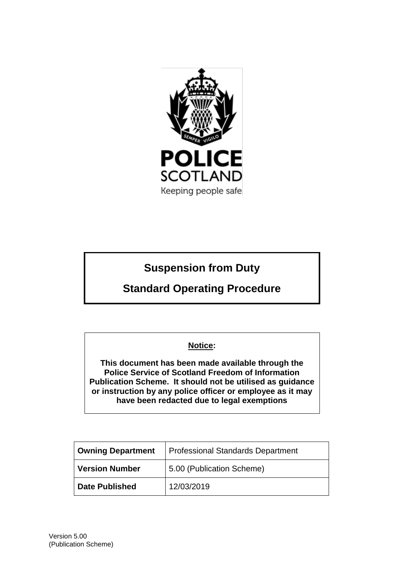

# **Suspension from Duty**

# **Standard Operating Procedure**

# **Notice:**

**This document has been made available through the Police Service of Scotland Freedom of Information Publication Scheme. It should not be utilised as guidance or instruction by any police officer or employee as it may have been redacted due to legal exemptions**

| <b>Owning Department</b> | Professional Standards Department |
|--------------------------|-----------------------------------|
| Version Number           | 5.00 (Publication Scheme)         |
| <b>Date Published</b>    | 12/03/2019                        |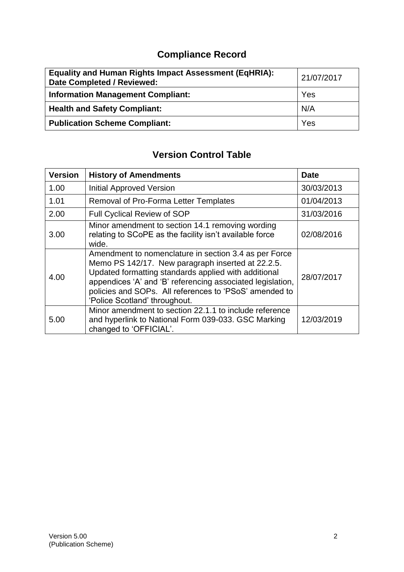# **Compliance Record**

| <b>Equality and Human Rights Impact Assessment (EqHRIA):</b><br>Date Completed / Reviewed: | 21/07/2017 |
|--------------------------------------------------------------------------------------------|------------|
| <b>Information Management Compliant:</b>                                                   | Yes        |
| <b>Health and Safety Compliant:</b>                                                        | N/A        |
| <b>Publication Scheme Compliant:</b>                                                       | Yes        |

# **Version Control Table**

| <b>Version</b> | <b>History of Amendments</b>                                                                                                                                                                                                                                                                                                | <b>Date</b> |
|----------------|-----------------------------------------------------------------------------------------------------------------------------------------------------------------------------------------------------------------------------------------------------------------------------------------------------------------------------|-------------|
| 1.00           | <b>Initial Approved Version</b>                                                                                                                                                                                                                                                                                             | 30/03/2013  |
| 1.01           | <b>Removal of Pro-Forma Letter Templates</b>                                                                                                                                                                                                                                                                                | 01/04/2013  |
| 2.00           | Full Cyclical Review of SOP                                                                                                                                                                                                                                                                                                 | 31/03/2016  |
| 3.00           | Minor amendment to section 14.1 removing wording<br>relating to SCoPE as the facility isn't available force<br>wide.                                                                                                                                                                                                        | 02/08/2016  |
| 4.00           | Amendment to nomenclature in section 3.4 as per Force<br>Memo PS 142/17. New paragraph inserted at 22.2.5.<br>Updated formatting standards applied with additional<br>appendices 'A' and 'B' referencing associated legislation,<br>policies and SOPs. All references to 'PSoS' amended to<br>'Police Scotland' throughout. | 28/07/2017  |
| 5.00           | Minor amendment to section 22.1.1 to include reference<br>and hyperlink to National Form 039-033. GSC Marking<br>changed to 'OFFICIAL'.                                                                                                                                                                                     | 12/03/2019  |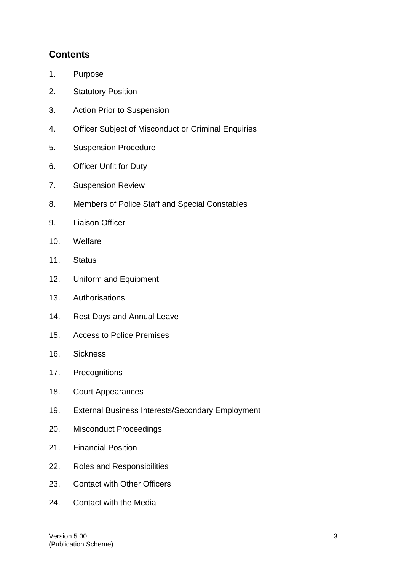# **Contents**

- 1. Purpose
- 2. Statutory Position
- 3. Action Prior to Suspension
- 4. Officer Subject of Misconduct or Criminal Enquiries
- 5. Suspension Procedure
- 6. Officer Unfit for Duty
- 7. Suspension Review
- 8. Members of Police Staff and Special Constables
- 9. Liaison Officer
- 10. Welfare
- 11. Status
- 12. Uniform and Equipment
- 13. Authorisations
- 14. Rest Days and Annual Leave
- 15. Access to Police Premises
- 16. Sickness
- 17. Precognitions
- 18. Court Appearances
- 19. External Business Interests/Secondary Employment
- 20. Misconduct Proceedings
- 21. Financial Position
- 22. Roles and Responsibilities
- 23. Contact with Other Officers
- 24. Contact with the Media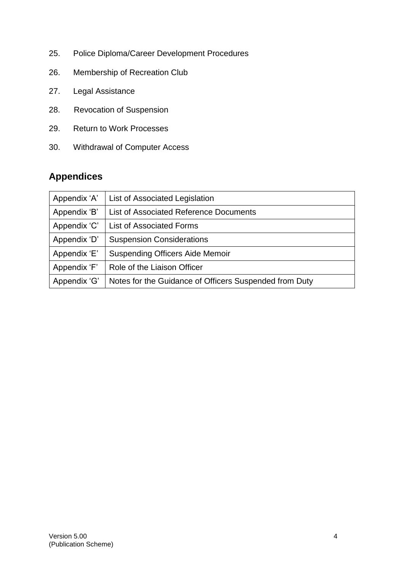- 25. Police Diploma/Career Development Procedures
- 26. Membership of Recreation Club
- 27. Legal Assistance
- 28. Revocation of Suspension
- 29. Return to Work Processes
- 30. Withdrawal of Computer Access

# **Appendices**

| Appendix 'A' | List of Associated Legislation                         |
|--------------|--------------------------------------------------------|
| Appendix 'B' | List of Associated Reference Documents                 |
| Appendix 'C' | <b>List of Associated Forms</b>                        |
| Appendix 'D' | <b>Suspension Considerations</b>                       |
| Appendix 'E' | <b>Suspending Officers Aide Memoir</b>                 |
| Appendix 'F' | Role of the Liaison Officer                            |
| Appendix 'G' | Notes for the Guidance of Officers Suspended from Duty |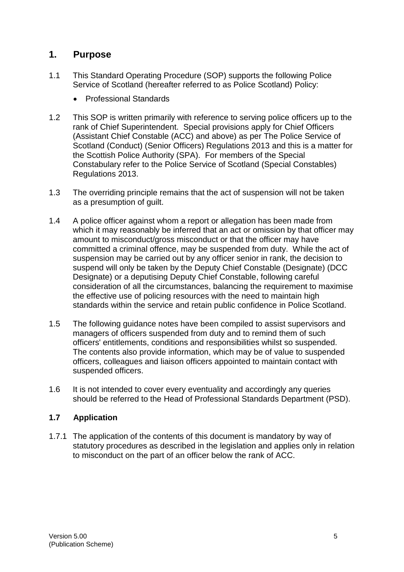## **1. Purpose**

- 1.1 This Standard Operating Procedure (SOP) supports the following Police Service of Scotland (hereafter referred to as Police Scotland) Policy:
	- Professional Standards
- 1.2 This SOP is written primarily with reference to serving police officers up to the rank of Chief Superintendent. Special provisions apply for Chief Officers (Assistant Chief Constable (ACC) and above) as per The Police Service of Scotland (Conduct) (Senior Officers) Regulations 2013 and this is a matter for the Scottish Police Authority (SPA). For members of the Special Constabulary refer to the Police Service of Scotland (Special Constables) Regulations 2013.
- 1.3 The overriding principle remains that the act of suspension will not be taken as a presumption of guilt.
- 1.4 A police officer against whom a report or allegation has been made from which it may reasonably be inferred that an act or omission by that officer may amount to misconduct/gross misconduct or that the officer may have committed a criminal offence, may be suspended from duty. While the act of suspension may be carried out by any officer senior in rank, the decision to suspend will only be taken by the Deputy Chief Constable (Designate) (DCC Designate) or a deputising Deputy Chief Constable, following careful consideration of all the circumstances, balancing the requirement to maximise the effective use of policing resources with the need to maintain high standards within the service and retain public confidence in Police Scotland.
- 1.5 The following guidance notes have been compiled to assist supervisors and managers of officers suspended from duty and to remind them of such officers' entitlements, conditions and responsibilities whilst so suspended. The contents also provide information, which may be of value to suspended officers, colleagues and liaison officers appointed to maintain contact with suspended officers.
- 1.6 It is not intended to cover every eventuality and accordingly any queries should be referred to the Head of Professional Standards Department (PSD).

### **1.7 Application**

1.7.1 The application of the contents of this document is mandatory by way of statutory procedures as described in the legislation and applies only in relation to misconduct on the part of an officer below the rank of ACC.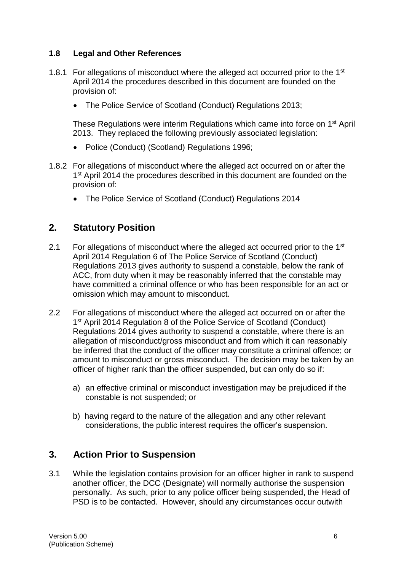#### **1.8 Legal and Other References**

- 1.8.1 For allegations of misconduct where the alleged act occurred prior to the 1<sup>st</sup> April 2014 the procedures described in this document are founded on the provision of:
	- The Police Service of Scotland (Conduct) Regulations 2013;

These Regulations were interim Regulations which came into force on 1st April 2013. They replaced the following previously associated legislation:

- Police (Conduct) (Scotland) Regulations 1996;
- 1.8.2 For allegations of misconduct where the alleged act occurred on or after the 1<sup>st</sup> April 2014 the procedures described in this document are founded on the provision of:
	- The Police Service of Scotland (Conduct) Regulations 2014

## **2. Statutory Position**

- 2.1 For allegations of misconduct where the alleged act occurred prior to the 1<sup>st</sup> April 2014 Regulation 6 of The Police Service of Scotland (Conduct) Regulations 2013 gives authority to suspend a constable, below the rank of ACC, from duty when it may be reasonably inferred that the constable may have committed a criminal offence or who has been responsible for an act or omission which may amount to misconduct.
- 2.2 For allegations of misconduct where the alleged act occurred on or after the 1<sup>st</sup> April 2014 Regulation 8 of the Police Service of Scotland (Conduct) Regulations 2014 gives authority to suspend a constable, where there is an allegation of misconduct/gross misconduct and from which it can reasonably be inferred that the conduct of the officer may constitute a criminal offence; or amount to misconduct or gross misconduct. The decision may be taken by an officer of higher rank than the officer suspended, but can only do so if:
	- a) an effective criminal or misconduct investigation may be prejudiced if the constable is not suspended; or
	- b) having regard to the nature of the allegation and any other relevant considerations, the public interest requires the officer's suspension.

### **3. Action Prior to Suspension**

3.1 While the legislation contains provision for an officer higher in rank to suspend another officer, the DCC (Designate) will normally authorise the suspension personally. As such, prior to any police officer being suspended, the Head of PSD is to be contacted. However, should any circumstances occur outwith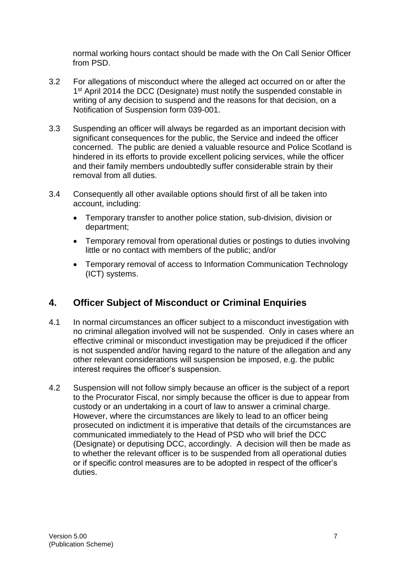normal working hours contact should be made with the On Call Senior Officer from PSD.

- 3.2 For allegations of misconduct where the alleged act occurred on or after the 1<sup>st</sup> April 2014 the DCC (Designate) must notify the suspended constable in writing of any decision to suspend and the reasons for that decision, on a Notification of Suspension form 039-001.
- 3.3 Suspending an officer will always be regarded as an important decision with significant consequences for the public, the Service and indeed the officer concerned. The public are denied a valuable resource and Police Scotland is hindered in its efforts to provide excellent policing services, while the officer and their family members undoubtedly suffer considerable strain by their removal from all duties.
- 3.4 Consequently all other available options should first of all be taken into account, including:
	- Temporary transfer to another police station, sub-division, division or department;
	- Temporary removal from operational duties or postings to duties involving little or no contact with members of the public; and/or
	- Temporary removal of access to Information Communication Technology (ICT) systems.

# **4. Officer Subject of Misconduct or Criminal Enquiries**

- 4.1 In normal circumstances an officer subject to a misconduct investigation with no criminal allegation involved will not be suspended. Only in cases where an effective criminal or misconduct investigation may be prejudiced if the officer is not suspended and/or having regard to the nature of the allegation and any other relevant considerations will suspension be imposed, e.g. the public interest requires the officer's suspension.
- 4.2 Suspension will not follow simply because an officer is the subject of a report to the Procurator Fiscal, nor simply because the officer is due to appear from custody or an undertaking in a court of law to answer a criminal charge. However, where the circumstances are likely to lead to an officer being prosecuted on indictment it is imperative that details of the circumstances are communicated immediately to the Head of PSD who will brief the DCC (Designate) or deputising DCC, accordingly. A decision will then be made as to whether the relevant officer is to be suspended from all operational duties or if specific control measures are to be adopted in respect of the officer's duties.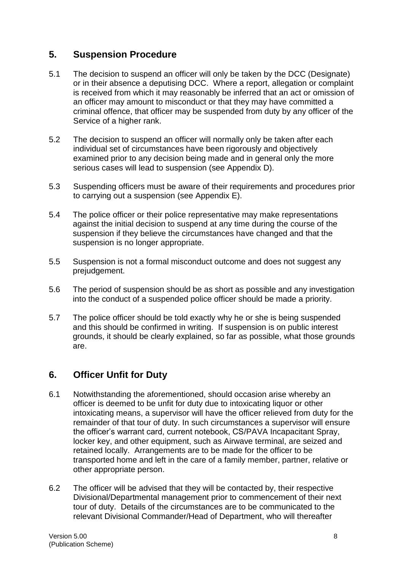# **5. Suspension Procedure**

- 5.1 The decision to suspend an officer will only be taken by the DCC (Designate) or in their absence a deputising DCC. Where a report, allegation or complaint is received from which it may reasonably be inferred that an act or omission of an officer may amount to misconduct or that they may have committed a criminal offence, that officer may be suspended from duty by any officer of the Service of a higher rank.
- 5.2 The decision to suspend an officer will normally only be taken after each individual set of circumstances have been rigorously and objectively examined prior to any decision being made and in general only the more serious cases will lead to suspension (see Appendix D).
- 5.3 Suspending officers must be aware of their requirements and procedures prior to carrying out a suspension (see Appendix E).
- 5.4 The police officer or their police representative may make representations against the initial decision to suspend at any time during the course of the suspension if they believe the circumstances have changed and that the suspension is no longer appropriate.
- 5.5 Suspension is not a formal misconduct outcome and does not suggest any prejudgement.
- 5.6 The period of suspension should be as short as possible and any investigation into the conduct of a suspended police officer should be made a priority.
- 5.7 The police officer should be told exactly why he or she is being suspended and this should be confirmed in writing. If suspension is on public interest grounds, it should be clearly explained, so far as possible, what those grounds are.

# **6. Officer Unfit for Duty**

- 6.1 Notwithstanding the aforementioned, should occasion arise whereby an officer is deemed to be unfit for duty due to intoxicating liquor or other intoxicating means, a supervisor will have the officer relieved from duty for the remainder of that tour of duty. In such circumstances a supervisor will ensure the officer's warrant card, current notebook, CS/PAVA Incapacitant Spray, locker key, and other equipment, such as Airwave terminal, are seized and retained locally. Arrangements are to be made for the officer to be transported home and left in the care of a family member, partner, relative or other appropriate person.
- 6.2 The officer will be advised that they will be contacted by, their respective Divisional/Departmental management prior to commencement of their next tour of duty. Details of the circumstances are to be communicated to the relevant Divisional Commander/Head of Department, who will thereafter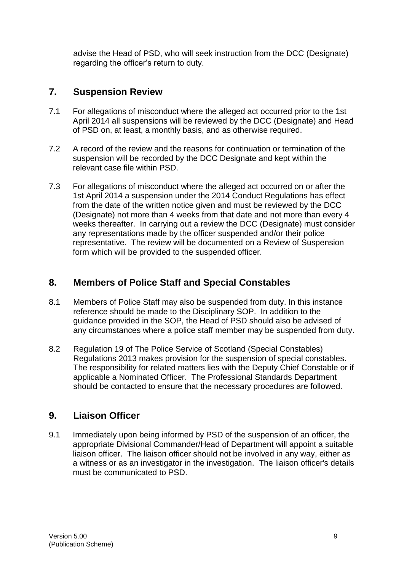advise the Head of PSD, who will seek instruction from the DCC (Designate) regarding the officer's return to duty.

# **7. Suspension Review**

- 7.1 For allegations of misconduct where the alleged act occurred prior to the 1st April 2014 all suspensions will be reviewed by the DCC (Designate) and Head of PSD on, at least, a monthly basis, and as otherwise required.
- 7.2 A record of the review and the reasons for continuation or termination of the suspension will be recorded by the DCC Designate and kept within the relevant case file within PSD.
- 7.3 For allegations of misconduct where the alleged act occurred on or after the 1st April 2014 a suspension under the 2014 Conduct Regulations has effect from the date of the written notice given and must be reviewed by the DCC (Designate) not more than 4 weeks from that date and not more than every 4 weeks thereafter. In carrying out a review the DCC (Designate) must consider any representations made by the officer suspended and/or their police representative. The review will be documented on a Review of Suspension form which will be provided to the suspended officer.

# **8. Members of Police Staff and Special Constables**

- 8.1 Members of Police Staff may also be suspended from duty. In this instance reference should be made to the Disciplinary SOP. In addition to the guidance provided in the SOP, the Head of PSD should also be advised of any circumstances where a police staff member may be suspended from duty.
- 8.2 Regulation 19 of The Police Service of Scotland (Special Constables) Regulations 2013 makes provision for the suspension of special constables. The responsibility for related matters lies with the Deputy Chief Constable or if applicable a Nominated Officer. The Professional Standards Department should be contacted to ensure that the necessary procedures are followed.

# **9. Liaison Officer**

9.1 Immediately upon being informed by PSD of the suspension of an officer, the appropriate Divisional Commander/Head of Department will appoint a suitable liaison officer. The liaison officer should not be involved in any way, either as a witness or as an investigator in the investigation. The liaison officer's details must be communicated to PSD.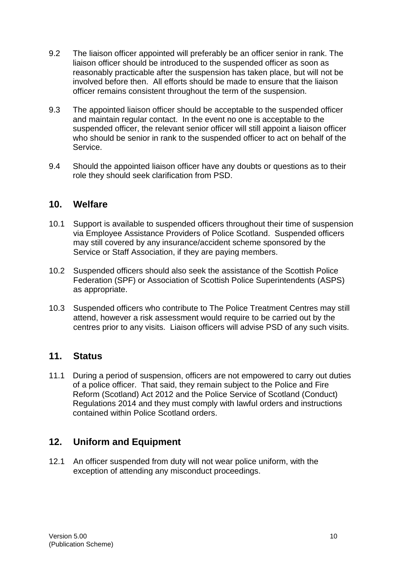- 9.2 The liaison officer appointed will preferably be an officer senior in rank. The liaison officer should be introduced to the suspended officer as soon as reasonably practicable after the suspension has taken place, but will not be involved before then. All efforts should be made to ensure that the liaison officer remains consistent throughout the term of the suspension.
- 9.3 The appointed liaison officer should be acceptable to the suspended officer and maintain regular contact. In the event no one is acceptable to the suspended officer, the relevant senior officer will still appoint a liaison officer who should be senior in rank to the suspended officer to act on behalf of the Service.
- 9.4 Should the appointed liaison officer have any doubts or questions as to their role they should seek clarification from PSD.

#### **10. Welfare**

- 10.1 Support is available to suspended officers throughout their time of suspension via Employee Assistance Providers of Police Scotland. Suspended officers may still covered by any insurance/accident scheme sponsored by the Service or Staff Association, if they are paying members.
- 10.2 Suspended officers should also seek the assistance of the Scottish Police Federation (SPF) or Association of Scottish Police Superintendents (ASPS) as appropriate.
- 10.3 Suspended officers who contribute to The Police Treatment Centres may still attend, however a risk assessment would require to be carried out by the centres prior to any visits. Liaison officers will advise PSD of any such visits.

### **11. Status**

11.1 During a period of suspension, officers are not empowered to carry out duties of a police officer. That said, they remain subject to the Police and Fire Reform (Scotland) Act 2012 and the Police Service of Scotland (Conduct) Regulations 2014 and they must comply with lawful orders and instructions contained within Police Scotland orders.

# **12. Uniform and Equipment**

12.1 An officer suspended from duty will not wear police uniform, with the exception of attending any misconduct proceedings.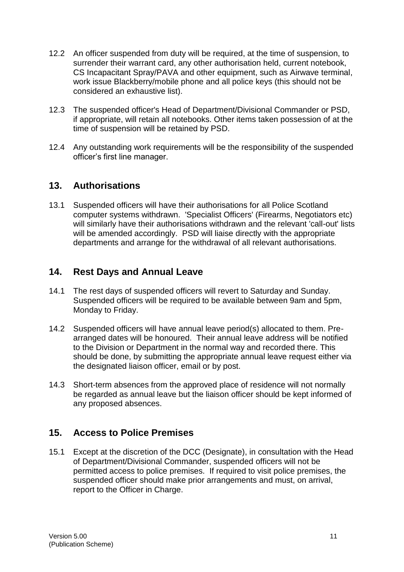- 12.2 An officer suspended from duty will be required, at the time of suspension, to surrender their warrant card, any other authorisation held, current notebook, CS Incapacitant Spray/PAVA and other equipment, such as Airwave terminal, work issue Blackberry/mobile phone and all police keys (this should not be considered an exhaustive list).
- 12.3 The suspended officer's Head of Department/Divisional Commander or PSD, if appropriate, will retain all notebooks. Other items taken possession of at the time of suspension will be retained by PSD.
- 12.4 Any outstanding work requirements will be the responsibility of the suspended officer's first line manager.

## **13. Authorisations**

13.1 Suspended officers will have their authorisations for all Police Scotland computer systems withdrawn. 'Specialist Officers' (Firearms, Negotiators etc) will similarly have their authorisations withdrawn and the relevant 'call-out' lists will be amended accordingly. PSD will liaise directly with the appropriate departments and arrange for the withdrawal of all relevant authorisations.

## **14. Rest Days and Annual Leave**

- 14.1 The rest days of suspended officers will revert to Saturday and Sunday. Suspended officers will be required to be available between 9am and 5pm, Monday to Friday.
- 14.2 Suspended officers will have annual leave period(s) allocated to them. Prearranged dates will be honoured. Their annual leave address will be notified to the Division or Department in the normal way and recorded there. This should be done, by submitting the appropriate annual leave request either via the designated liaison officer, email or by post.
- 14.3 Short-term absences from the approved place of residence will not normally be regarded as annual leave but the liaison officer should be kept informed of any proposed absences.

### **15. Access to Police Premises**

15.1 Except at the discretion of the DCC (Designate), in consultation with the Head of Department/Divisional Commander, suspended officers will not be permitted access to police premises. If required to visit police premises, the suspended officer should make prior arrangements and must, on arrival, report to the Officer in Charge.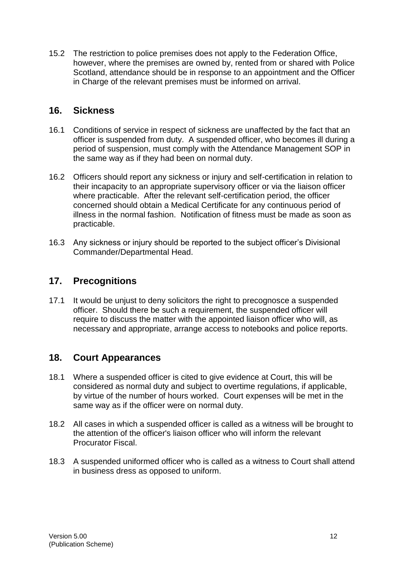15.2 The restriction to police premises does not apply to the Federation Office, however, where the premises are owned by, rented from or shared with Police Scotland, attendance should be in response to an appointment and the Officer in Charge of the relevant premises must be informed on arrival.

# **16. Sickness**

- 16.1 Conditions of service in respect of sickness are unaffected by the fact that an officer is suspended from duty. A suspended officer, who becomes ill during a period of suspension, must comply with the Attendance Management SOP in the same way as if they had been on normal duty.
- 16.2 Officers should report any sickness or injury and self-certification in relation to their incapacity to an appropriate supervisory officer or via the liaison officer where practicable. After the relevant self-certification period, the officer concerned should obtain a Medical Certificate for any continuous period of illness in the normal fashion. Notification of fitness must be made as soon as practicable.
- 16.3 Any sickness or injury should be reported to the subject officer's Divisional Commander/Departmental Head.

## **17. Precognitions**

17.1 It would be unjust to deny solicitors the right to precognosce a suspended officer. Should there be such a requirement, the suspended officer will require to discuss the matter with the appointed liaison officer who will, as necessary and appropriate, arrange access to notebooks and police reports.

# **18. Court Appearances**

- 18.1 Where a suspended officer is cited to give evidence at Court, this will be considered as normal duty and subject to overtime regulations, if applicable, by virtue of the number of hours worked. Court expenses will be met in the same way as if the officer were on normal duty.
- 18.2 All cases in which a suspended officer is called as a witness will be brought to the attention of the officer's liaison officer who will inform the relevant Procurator Fiscal.
- 18.3 A suspended uniformed officer who is called as a witness to Court shall attend in business dress as opposed to uniform.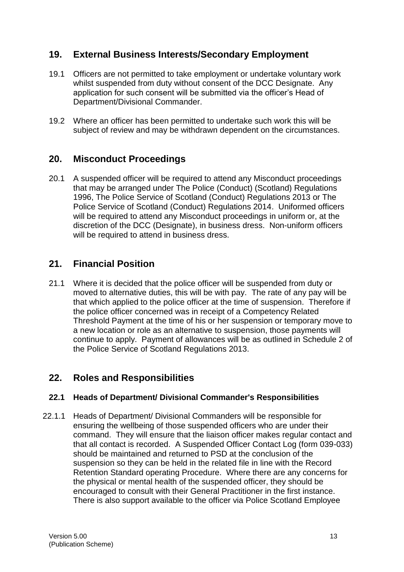# **19. External Business Interests/Secondary Employment**

- 19.1 Officers are not permitted to take employment or undertake voluntary work whilst suspended from duty without consent of the DCC Designate. Any application for such consent will be submitted via the officer's Head of Department/Divisional Commander.
- 19.2 Where an officer has been permitted to undertake such work this will be subject of review and may be withdrawn dependent on the circumstances.

### **20. Misconduct Proceedings**

20.1 A suspended officer will be required to attend any Misconduct proceedings that may be arranged under The Police (Conduct) (Scotland) Regulations 1996, The Police Service of Scotland (Conduct) Regulations 2013 or The Police Service of Scotland (Conduct) Regulations 2014. Uniformed officers will be required to attend any Misconduct proceedings in uniform or, at the discretion of the DCC (Designate), in business dress. Non-uniform officers will be required to attend in business dress.

## **21. Financial Position**

21.1 Where it is decided that the police officer will be suspended from duty or moved to alternative duties, this will be with pay. The rate of any pay will be that which applied to the police officer at the time of suspension. Therefore if the police officer concerned was in receipt of a Competency Related Threshold Payment at the time of his or her suspension or temporary move to a new location or role as an alternative to suspension, those payments will continue to apply. Payment of allowances will be as outlined in Schedule 2 of the Police Service of Scotland Regulations 2013.

# **22. Roles and Responsibilities**

#### **22.1 Heads of Department/ Divisional Commander's Responsibilities**

22.1.1 Heads of Department/ Divisional Commanders will be responsible for ensuring the wellbeing of those suspended officers who are under their command. They will ensure that the liaison officer makes regular contact and that all contact is recorded. A Suspended Officer Contact Log (form 039-033) should be maintained and returned to PSD at the conclusion of the suspension so they can be held in the related file in line with the Record Retention Standard operating Procedure. Where there are any concerns for the physical or mental health of the suspended officer, they should be encouraged to consult with their General Practitioner in the first instance. There is also support available to the officer via Police Scotland Employee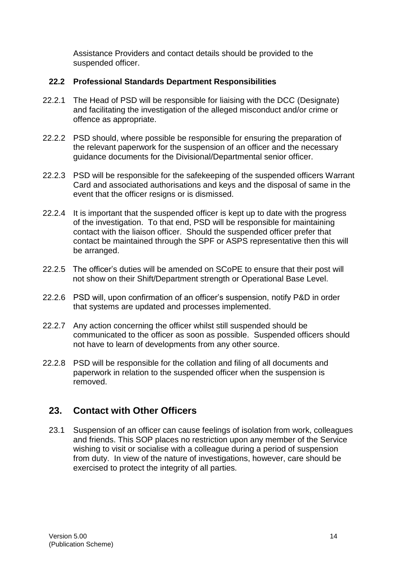Assistance Providers and contact details should be provided to the suspended officer.

#### **22.2 Professional Standards Department Responsibilities**

- 22.2.1 The Head of PSD will be responsible for liaising with the DCC (Designate) and facilitating the investigation of the alleged misconduct and/or crime or offence as appropriate.
- 22.2.2 PSD should, where possible be responsible for ensuring the preparation of the relevant paperwork for the suspension of an officer and the necessary guidance documents for the Divisional/Departmental senior officer.
- 22.2.3 PSD will be responsible for the safekeeping of the suspended officers Warrant Card and associated authorisations and keys and the disposal of same in the event that the officer resigns or is dismissed.
- 22.2.4 It is important that the suspended officer is kept up to date with the progress of the investigation. To that end, PSD will be responsible for maintaining contact with the liaison officer. Should the suspended officer prefer that contact be maintained through the SPF or ASPS representative then this will be arranged.
- 22.2.5 The officer's duties will be amended on SCoPE to ensure that their post will not show on their Shift/Department strength or Operational Base Level.
- 22.2.6 PSD will, upon confirmation of an officer's suspension, notify P&D in order that systems are updated and processes implemented.
- 22.2.7 Any action concerning the officer whilst still suspended should be communicated to the officer as soon as possible. Suspended officers should not have to learn of developments from any other source.
- 22.2.8 PSD will be responsible for the collation and filing of all documents and paperwork in relation to the suspended officer when the suspension is removed.

# **23. Contact with Other Officers**

23.1 Suspension of an officer can cause feelings of isolation from work, colleagues and friends. This SOP places no restriction upon any member of the Service wishing to visit or socialise with a colleague during a period of suspension from duty. In view of the nature of investigations, however, care should be exercised to protect the integrity of all parties.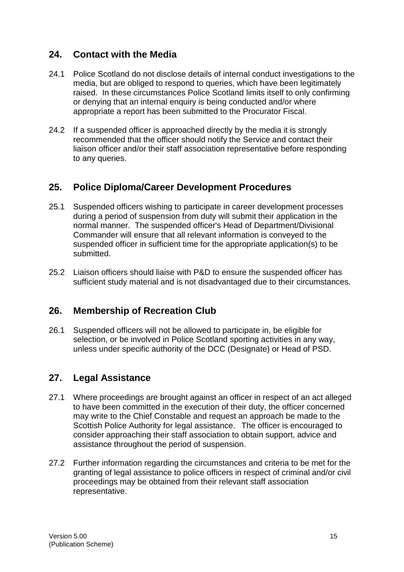# **24. Contact with the Media**

- 24.1 Police Scotland do not disclose details of internal conduct investigations to the media, but are obliged to respond to queries, which have been legitimately raised. In these circumstances Police Scotland limits itself to only confirming or denying that an internal enquiry is being conducted and/or where appropriate a report has been submitted to the Procurator Fiscal.
- 24.2 If a suspended officer is approached directly by the media it is strongly recommended that the officer should notify the Service and contact their liaison officer and/or their staff association representative before responding to any queries.

# **25. Police Diploma/Career Development Procedures**

- 25.1 Suspended officers wishing to participate in career development processes during a period of suspension from duty will submit their application in the normal manner. The suspended officer's Head of Department/Divisional Commander will ensure that all relevant information is conveyed to the suspended officer in sufficient time for the appropriate application(s) to be submitted.
- 25.2 Liaison officers should liaise with P&D to ensure the suspended officer has sufficient study material and is not disadvantaged due to their circumstances.

### **26. Membership of Recreation Club**

26.1 Suspended officers will not be allowed to participate in, be eligible for selection, or be involved in Police Scotland sporting activities in any way, unless under specific authority of the DCC (Designate) or Head of PSD.

# **27. Legal Assistance**

- 27.1 Where proceedings are brought against an officer in respect of an act alleged to have been committed in the execution of their duty, the officer concerned may write to the Chief Constable and request an approach be made to the Scottish Police Authority for legal assistance. The officer is encouraged to consider approaching their staff association to obtain support, advice and assistance throughout the period of suspension.
- 27.2 Further information regarding the circumstances and criteria to be met for the granting of legal assistance to police officers in respect of criminal and/or civil proceedings may be obtained from their relevant staff association representative.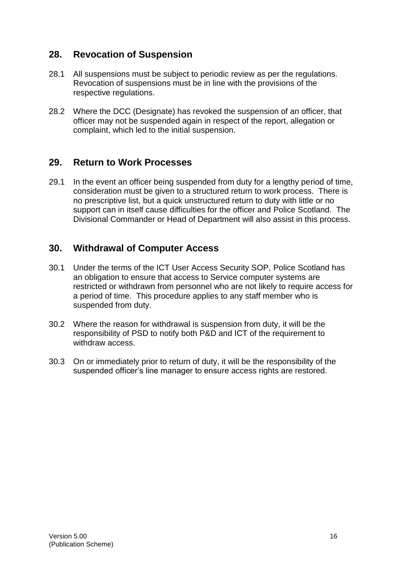# **28. Revocation of Suspension**

- 28.1 All suspensions must be subject to periodic review as per the regulations. Revocation of suspensions must be in line with the provisions of the respective regulations.
- 28.2 Where the DCC (Designate) has revoked the suspension of an officer, that officer may not be suspended again in respect of the report, allegation or complaint, which led to the initial suspension.

## **29. Return to Work Processes**

29.1 In the event an officer being suspended from duty for a lengthy period of time, consideration must be given to a structured return to work process. There is no prescriptive list, but a quick unstructured return to duty with little or no support can in itself cause difficulties for the officer and Police Scotland. The Divisional Commander or Head of Department will also assist in this process.

## **30. Withdrawal of Computer Access**

- 30.1 Under the terms of the ICT User Access Security SOP, Police Scotland has an obligation to ensure that access to Service computer systems are restricted or withdrawn from personnel who are not likely to require access for a period of time. This procedure applies to any staff member who is suspended from duty.
- 30.2 Where the reason for withdrawal is suspension from duty, it will be the responsibility of PSD to notify both P&D and ICT of the requirement to withdraw access.
- 30.3 On or immediately prior to return of duty, it will be the responsibility of the suspended officer's line manager to ensure access rights are restored.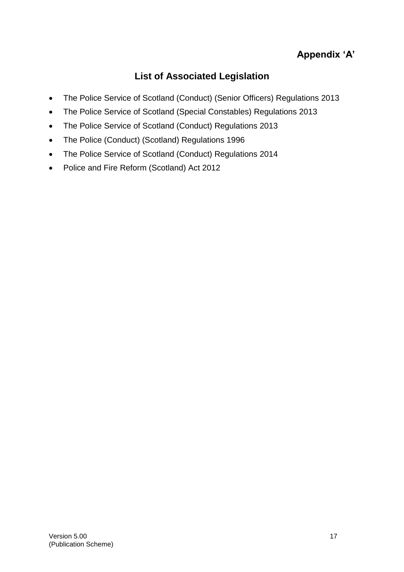# **Appendix 'A'**

# **List of Associated Legislation**

- The Police Service of Scotland (Conduct) (Senior Officers) Regulations 2013
- The Police Service of Scotland (Special Constables) Regulations 2013
- The Police Service of Scotland (Conduct) Regulations 2013
- The Police (Conduct) (Scotland) Regulations 1996
- The Police Service of Scotland (Conduct) Regulations 2014
- Police and Fire Reform (Scotland) Act 2012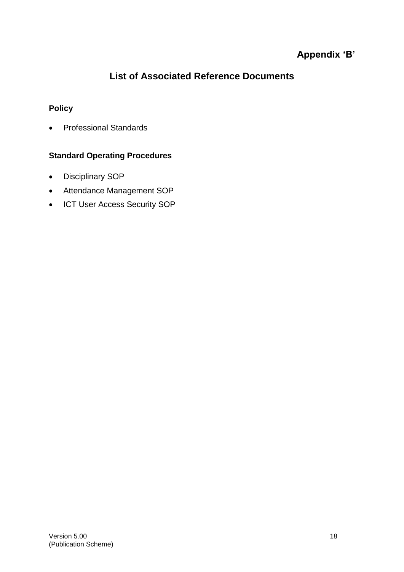# **Appendix 'B'**

# **List of Associated Reference Documents**

### **Policy**

• Professional Standards

#### **Standard Operating Procedures**

- Disciplinary SOP
- Attendance Management SOP
- ICT User Access Security SOP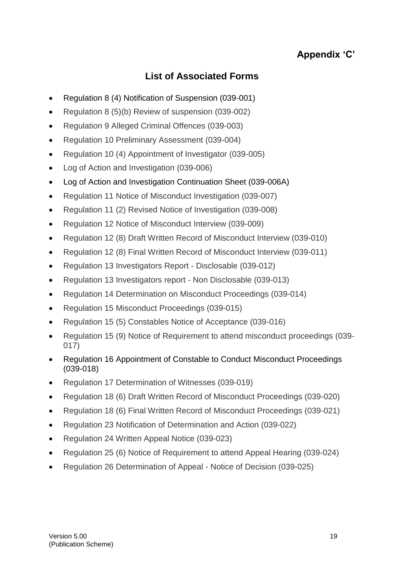# **Appendix 'C'**

# **List of Associated Forms**

- Regulation 8 (4) Notification of Suspension (039-001)
- Regulation 8 (5)(b) Review of suspension (039-002)
- Regulation 9 Alleged Criminal Offences (039-003)
- Regulation 10 Preliminary Assessment (039-004)
- Regulation 10 (4) Appointment of Investigator (039-005)
- Log of Action and Investigation (039-006)
- Log of Action and Investigation Continuation Sheet (039-006A)
- Regulation 11 Notice of Misconduct Investigation (039-007)
- Regulation 11 (2) Revised Notice of Investigation (039-008)
- Regulation 12 Notice of Misconduct Interview (039-009)
- Regulation 12 (8) Draft Written Record of Misconduct Interview (039-010)
- Regulation 12 (8) Final Written Record of Misconduct Interview (039-011)
- Regulation 13 Investigators Report Disclosable (039-012)
- Regulation 13 Investigators report Non Disclosable (039-013)
- Regulation 14 Determination on Misconduct Proceedings (039-014)
- Regulation 15 Misconduct Proceedings (039-015)
- Regulation 15 (5) Constables Notice of Acceptance (039-016)
- Regulation 15 (9) Notice of Requirement to attend misconduct proceedings (039- 017)
- Regulation 16 Appointment of Constable to Conduct Misconduct Proceedings (039-018)
- Regulation 17 Determination of Witnesses (039-019)
- Regulation 18 (6) Draft Written Record of Misconduct Proceedings (039-020)
- Regulation 18 (6) Final Written Record of Misconduct Proceedings (039-021)
- Regulation 23 Notification of Determination and Action (039-022)
- Regulation 24 Written Appeal Notice (039-023)
- Regulation 25 (6) Notice of Requirement to attend Appeal Hearing (039-024)
- Regulation 26 Determination of Appeal Notice of Decision (039-025)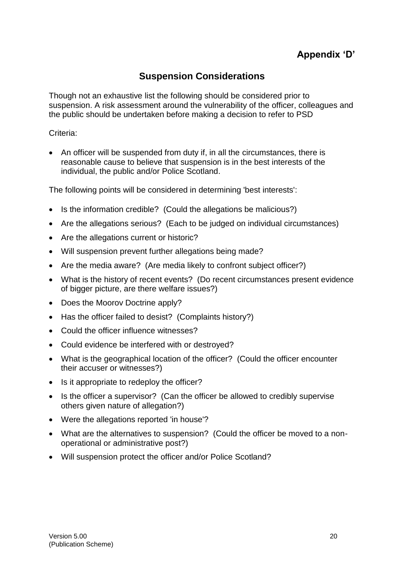# **Appendix 'D'**

# **Suspension Considerations**

Though not an exhaustive list the following should be considered prior to suspension. A risk assessment around the vulnerability of the officer, colleagues and the public should be undertaken before making a decision to refer to PSD

#### Criteria:

• An officer will be suspended from duty if, in all the circumstances, there is reasonable cause to believe that suspension is in the best interests of the individual, the public and/or Police Scotland.

The following points will be considered in determining 'best interests':

- Is the information credible? (Could the allegations be malicious?)
- Are the allegations serious? (Each to be judged on individual circumstances)
- Are the allegations current or historic?
- Will suspension prevent further allegations being made?
- Are the media aware? (Are media likely to confront subject officer?)
- What is the history of recent events? (Do recent circumstances present evidence of bigger picture, are there welfare issues?)
- Does the Moorov Doctrine apply?
- Has the officer failed to desist? (Complaints history?)
- Could the officer influence witnesses?
- Could evidence be interfered with or destroyed?
- What is the geographical location of the officer? (Could the officer encounter their accuser or witnesses?)
- Is it appropriate to redeploy the officer?
- Is the officer a supervisor? (Can the officer be allowed to credibly supervise others given nature of allegation?)
- Were the allegations reported 'in house'?
- What are the alternatives to suspension? (Could the officer be moved to a nonoperational or administrative post?)
- Will suspension protect the officer and/or Police Scotland?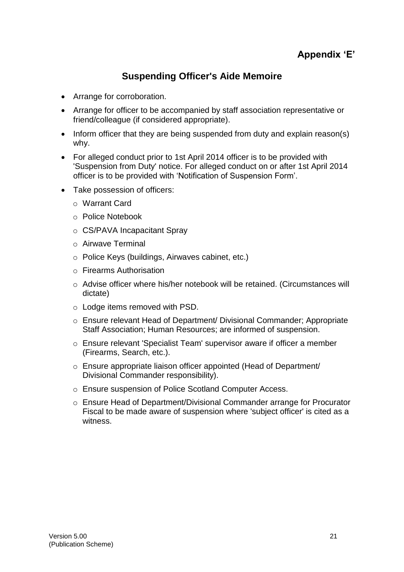# **Suspending Officer's Aide Memoire**

- Arrange for corroboration.
- Arrange for officer to be accompanied by staff association representative or friend/colleague (if considered appropriate).
- Inform officer that they are being suspended from duty and explain reason(s) why.
- For alleged conduct prior to 1st April 2014 officer is to be provided with 'Suspension from Duty' notice. For alleged conduct on or after 1st April 2014 officer is to be provided with 'Notification of Suspension Form'.
- Take possession of officers:
	- o Warrant Card
	- o Police Notebook
	- o CS/PAVA Incapacitant Spray
	- o Airwave Terminal
	- o Police Keys (buildings, Airwaves cabinet, etc.)
	- o Firearms Authorisation
	- $\circ$  Advise officer where his/her notebook will be retained. (Circumstances will dictate)
	- o Lodge items removed with PSD.
	- o Ensure relevant Head of Department/ Divisional Commander; Appropriate Staff Association; Human Resources; are informed of suspension.
	- o Ensure relevant 'Specialist Team' supervisor aware if officer a member (Firearms, Search, etc.).
	- o Ensure appropriate liaison officer appointed (Head of Department/ Divisional Commander responsibility).
	- o Ensure suspension of Police Scotland Computer Access.
	- o Ensure Head of Department/Divisional Commander arrange for Procurator Fiscal to be made aware of suspension where 'subject officer' is cited as a witness.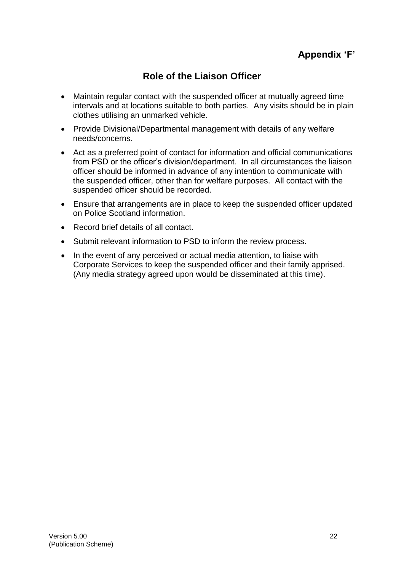# **Role of the Liaison Officer**

- Maintain regular contact with the suspended officer at mutually agreed time intervals and at locations suitable to both parties. Any visits should be in plain clothes utilising an unmarked vehicle.
- Provide Divisional/Departmental management with details of any welfare needs/concerns.
- Act as a preferred point of contact for information and official communications from PSD or the officer's division/department. In all circumstances the liaison officer should be informed in advance of any intention to communicate with the suspended officer, other than for welfare purposes. All contact with the suspended officer should be recorded.
- Ensure that arrangements are in place to keep the suspended officer updated on Police Scotland information.
- Record brief details of all contact.
- Submit relevant information to PSD to inform the review process.
- In the event of any perceived or actual media attention, to liaise with Corporate Services to keep the suspended officer and their family apprised. (Any media strategy agreed upon would be disseminated at this time).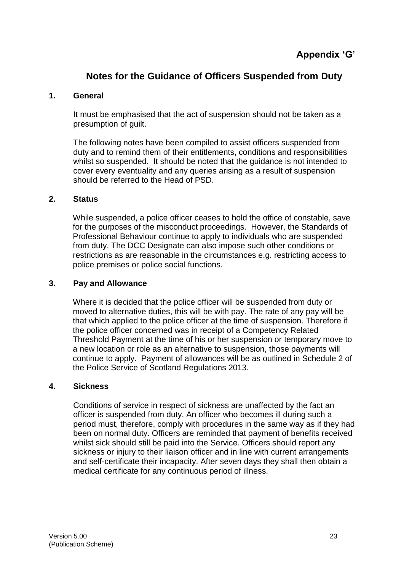# **Notes for the Guidance of Officers Suspended from Duty**

#### **1. General**

It must be emphasised that the act of suspension should not be taken as a presumption of guilt.

The following notes have been compiled to assist officers suspended from duty and to remind them of their entitlements, conditions and responsibilities whilst so suspended. It should be noted that the quidance is not intended to cover every eventuality and any queries arising as a result of suspension should be referred to the Head of PSD.

#### **2. Status**

While suspended, a police officer ceases to hold the office of constable, save for the purposes of the misconduct proceedings. However, the Standards of Professional Behaviour continue to apply to individuals who are suspended from duty. The DCC Designate can also impose such other conditions or restrictions as are reasonable in the circumstances e.g. restricting access to police premises or police social functions.

#### **3. Pay and Allowance**

Where it is decided that the police officer will be suspended from duty or moved to alternative duties, this will be with pay. The rate of any pay will be that which applied to the police officer at the time of suspension. Therefore if the police officer concerned was in receipt of a Competency Related Threshold Payment at the time of his or her suspension or temporary move to a new location or role as an alternative to suspension, those payments will continue to apply. Payment of allowances will be as outlined in Schedule 2 of the Police Service of Scotland Regulations 2013.

#### **4. Sickness**

Conditions of service in respect of sickness are unaffected by the fact an officer is suspended from duty. An officer who becomes ill during such a period must, therefore, comply with procedures in the same way as if they had been on normal duty. Officers are reminded that payment of benefits received whilst sick should still be paid into the Service. Officers should report any sickness or injury to their liaison officer and in line with current arrangements and self-certificate their incapacity. After seven days they shall then obtain a medical certificate for any continuous period of illness.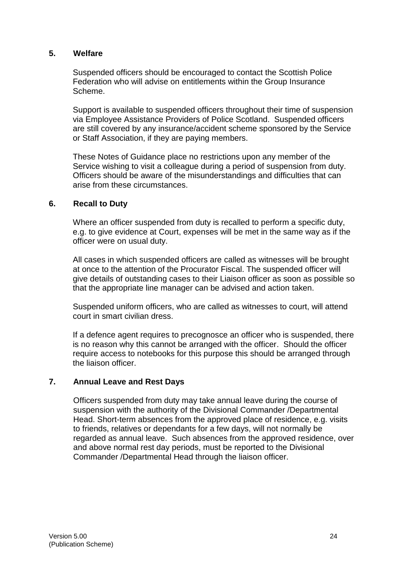#### **5. Welfare**

Suspended officers should be encouraged to contact the Scottish Police Federation who will advise on entitlements within the Group Insurance Scheme.

Support is available to suspended officers throughout their time of suspension via Employee Assistance Providers of Police Scotland. Suspended officers are still covered by any insurance/accident scheme sponsored by the Service or Staff Association, if they are paying members.

These Notes of Guidance place no restrictions upon any member of the Service wishing to visit a colleague during a period of suspension from duty. Officers should be aware of the misunderstandings and difficulties that can arise from these circumstances.

#### **6. Recall to Duty**

Where an officer suspended from duty is recalled to perform a specific duty, e.g. to give evidence at Court, expenses will be met in the same way as if the officer were on usual duty.

All cases in which suspended officers are called as witnesses will be brought at once to the attention of the Procurator Fiscal. The suspended officer will give details of outstanding cases to their Liaison officer as soon as possible so that the appropriate line manager can be advised and action taken.

Suspended uniform officers, who are called as witnesses to court, will attend court in smart civilian dress.

If a defence agent requires to precognosce an officer who is suspended, there is no reason why this cannot be arranged with the officer. Should the officer require access to notebooks for this purpose this should be arranged through the liaison officer.

#### **7. Annual Leave and Rest Days**

Officers suspended from duty may take annual leave during the course of suspension with the authority of the Divisional Commander /Departmental Head. Short-term absences from the approved place of residence, e.g. visits to friends, relatives or dependants for a few days, will not normally be regarded as annual leave. Such absences from the approved residence, over and above normal rest day periods, must be reported to the Divisional Commander /Departmental Head through the liaison officer.